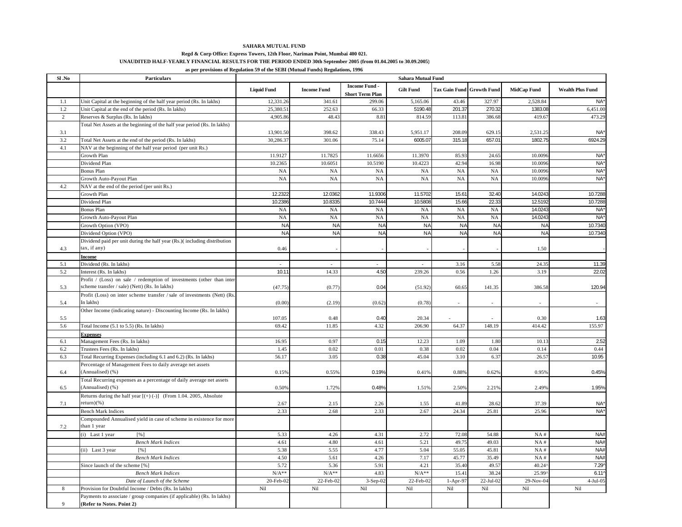## **SAHARA MUTUAL FUND**

## **Regd & Corp Office: Express Towers, 12th Floor, Nariman Point, Mumbai 400 021. UNAUDITED HALF-YEARLY FINANCIAL RESULTS FOR THE PERIOD ENDED 30th September 2005 (from 01.04.2005 to 30.09.2005)**

**as per provisions of Regulation 59 of the SEBI (Mutual Funds) Regulations, 1996**

| Sl .No         | <b>Particulars</b>                                                       | Sahara Mutual Fund |                    |                                                |                  |                                  |           |                          |                         |
|----------------|--------------------------------------------------------------------------|--------------------|--------------------|------------------------------------------------|------------------|----------------------------------|-----------|--------------------------|-------------------------|
|                |                                                                          | <b>Liquid Fund</b> | <b>Income Fund</b> | <b>Income Fund -</b><br><b>Short Term Plan</b> | <b>Gilt Fund</b> | <b>Tax Gain Fund Growth Fund</b> |           | <b>MidCap Fund</b>       | <b>Wealth Plus Fund</b> |
| $1.1\,$        | Unit Capital at the beginning of the half year period (Rs. In lakhs)     | 12,331.26          | 341.61             | 299.06                                         | 5,165.06         | 43.46                            | 327.97    | 2,528.84                 | NA <sup>*</sup>         |
| 1.2            | Unit Capital at the end of the period (Rs. In lakhs)                     | 25,380.51          | 252.63             | 66.33                                          | 5190.48          | 201.37                           | 270.32    | 1383.08                  | 6,451.00                |
| $\sqrt{2}$     | Reserves & Surplus (Rs. In lakhs)                                        | 4,905.86           | 48.43              | 8.81                                           | 814.59           | 113.81                           | 386.68    | 419.67                   | 473.29                  |
|                | Total Net Assets at the beginning of the half year period (Rs. In lakhs) |                    |                    |                                                |                  |                                  |           |                          |                         |
| 3.1            |                                                                          | 13,901.50          | 398.62             | 338.43                                         | 5,951.17         | 208.09                           | 629.15    | 2,531.25                 | NA <sup>*</sup>         |
| 3.2            | Total Net Assets at the end of the period (Rs. In lakhs)                 | 30,286.37          | 301.06             | 75.14                                          | 6005.07          | 315.18                           | 657.01    | 1802.75                  | 6924.29                 |
| 4.1            | NAV at the beginning of the half year period (per unit Rs.)              |                    |                    |                                                |                  |                                  |           |                          |                         |
|                | Growth Plan                                                              | 11.9127            | 11.7825            | 11.6656                                        | 11.3970          | 85.93                            | 24.65     | 10.0096                  | NA <sup>*</sup>         |
|                | Dividend Plan                                                            | 10.2365            | 10.6051            | 10.5190                                        | 10.4223          | 42.94                            | 16.98     | 10.0096                  | NA <sup>*</sup>         |
|                | <b>Bonus Plan</b>                                                        | <b>NA</b>          | <b>NA</b>          | <b>NA</b>                                      | <b>NA</b>        | <b>NA</b>                        | <b>NA</b> | 10,009                   | NA <sup>*</sup>         |
|                | Growth Auto-Payout Plan                                                  | <b>NA</b>          | NA                 | <b>NA</b>                                      | <b>NA</b>        | <b>NA</b>                        | NA        | 10.0096                  | NA <sup>*</sup>         |
| 4.2            | NAV at the end of the period (per unit Rs.)                              |                    |                    |                                                |                  |                                  |           |                          |                         |
|                | Growth Plan                                                              | 12.2322            | 12.036             | 11.9306                                        | 11.5702          | 15.61                            | 32.40     | 14.0243                  | 10.7288                 |
|                | Dividend Plan                                                            | 10.2386            | 10.8335            | 10.7444                                        | 10.5808          | 15.66                            | 22.33     | 12.5192                  | 10.7288                 |
|                | <b>Bonus Plan</b>                                                        | NA                 | NA                 | NA                                             | NA               | NA                               | NA        | 14.0243                  | NA <sup>*</sup>         |
|                | Growth Auto-Payout Plan                                                  | NA                 | NA                 | NA                                             | <b>NA</b>        | NA                               | NA        | 14.0243                  | NA <sup>*</sup>         |
|                | Growth Option (VPO)                                                      | <b>NA</b>          | <b>NA</b>          | <b>NA</b>                                      | <b>NA</b>        | <b>NA</b>                        | <b>NA</b> | <b>NA</b>                | 10.7340                 |
|                | Dividend Option (VPO)                                                    | <b>NA</b>          | <b>NA</b>          | <b>NA</b>                                      | <b>NA</b>        | <b>NA</b>                        | <b>NA</b> | <b>NA</b>                | 10.7340                 |
|                | Dividend paid per unit during the half year (Rs.)(including distribution |                    |                    |                                                |                  |                                  |           |                          |                         |
| 4.3            | tax, if any)                                                             | 0.46               |                    |                                                |                  |                                  |           | 1.50                     |                         |
|                | <b>Income</b>                                                            |                    |                    |                                                |                  |                                  |           |                          |                         |
| 5.1            | Dividend (Rs. In lakhs)                                                  | $\overline{a}$     | $\overline{a}$     |                                                |                  | 3.16                             | 5.58      | 24.35                    | 11.39                   |
| 5.2            | Interest (Rs. In lakhs)                                                  | 10.11              | 14.33              | 4.50                                           | 239.26           | 0.56                             | 1.26      | 3.19                     | 22.02                   |
|                | Profit / (Loss) on sale / redemption of investments (other than inter    |                    |                    |                                                |                  |                                  |           |                          |                         |
| 5.3            | scheme transfer / sale) (Nett) (Rs. In lakhs)                            | (47.75)            | (0.77)             | 0.04                                           | (51.92)          | 60.65                            | 141.35    | 386.58                   | 120.94                  |
|                | Profit (Loss) on inter scheme transfer / sale of investments (Nett) (Rs. |                    |                    |                                                |                  |                                  |           |                          |                         |
| 5.4            | In lakhs)                                                                | (0.00)             | (2.19)             | (0.62)                                         | (0.78)           | ÷.                               | $\sim$    | $\overline{\phantom{a}}$ | $\sim$                  |
|                | Other Income (indicating nature) - Discounting Income (Rs. In lakhs)     |                    |                    |                                                |                  |                                  |           |                          |                         |
| 5.5            |                                                                          | 107.05             | 0.48               | 0.40                                           | 20.34            |                                  |           | 0.30                     | 1.63                    |
| 5.6            | Total Income (5.1 to 5.5) (Rs. In lakhs)                                 | 69.42              | 11.85              | 4.32                                           | 206.90           | 64.37                            | 148.19    | 414.42                   | 155.97                  |
|                | <b>Expenses</b>                                                          |                    |                    |                                                |                  |                                  |           |                          |                         |
| 6.1            | Management Fees (Rs. In lakhs)                                           | 16.95              | 0.97               | 0.15                                           | 12.23            | 1.09                             | 1.80      | 10.13                    | 2.52                    |
| 6.2            | Trustees Fees (Rs. In lakhs)                                             | 1.45               | 0.02               | 0.01                                           | 0.38             | 0.02                             | 0.04      | 0.14                     | 0.44                    |
| 6.3            | Total Recurring Expenses (including 6.1 and 6.2) (Rs. In lakhs)          | 56.17              | 3.05               | 0.38                                           | 45.04            | 3.10                             | 6.37      | 26.5'                    | 10.95                   |
|                | Percentage of Management Fees to daily average net assets                |                    |                    |                                                |                  |                                  |           |                          |                         |
| 6.4            | (Annualised) (%)                                                         | 0.15%              | 0.55%              | 0.19%                                          | 0.41%            | 0.88%                            | 0.62%     | 0.95%                    | 0.45%                   |
|                | Total Recurring expenses as a percentage of daily average net assets     |                    |                    |                                                |                  |                                  |           |                          |                         |
| 6.5            | (Annualised) (%)                                                         | 0.50%              | 1.72%              | 0.48%                                          | 1.51%            | 2.50%                            | 2.21%     | 2.49%                    | 1.95%                   |
|                | Returns during the half year $[ (+) (-) ]$ (From 1.04. 2005, Absolute    |                    |                    |                                                |                  |                                  |           |                          |                         |
| 7.1            | return)(% )                                                              | 2.67               | 2.15               | 2.26                                           | 1.55             | 41.89                            | 28.62     | 37.39                    | NA <sup>*</sup>         |
|                | <b>Bench Mark Indices</b>                                                | 2.33               | 2.68               | 2.33                                           | 2.67             | 24.34                            | 25.81     | 25.96                    | NA <sup>*</sup>         |
|                | Compounded Annualised yield in case of scheme in existence for more      |                    |                    |                                                |                  |                                  |           |                          |                         |
| 7.2            | than 1 year                                                              |                    |                    |                                                |                  |                                  |           |                          |                         |
|                | (i) Last 1 year<br>[%]                                                   | 5.33               | 4.26               | 4.31                                           | 2.72             | 72.08                            | 54.88     | $NA$ #                   | NA#                     |
|                | <b>Bench Mark Indices</b>                                                | 4.61               | 4.80               | 4.61                                           | 5.21             | 49.75                            | 49.03     | NA#                      | NA#                     |
|                | (ii) Last 3 year<br>[%]                                                  | 5.38               | 5.55               | 4.77                                           | 5.04             | 55.05                            | 45.81     | NA#                      | NA#                     |
|                | <b>Bench Mark Indices</b>                                                | 4.50               | 5.61               | 4.26                                           | 7.17             | 45.77                            | 35.49     | $NA$ #                   | NA#                     |
|                | Since launch of the scheme [%]                                           | 5.72               | 5.36               | 5.91                                           | 4.21             | 35.40                            | 49.57     | 40.24'                   | 7.29                    |
|                | <b>Bench Mark Indices</b>                                                | $N/A**$            | $N/A**$            | 4.83                                           | $N/A**$          | 15.41                            | 38.24     | 25.99'                   | 6.11'                   |
|                | Date of Launch of the Scheme                                             | 20-Feb-02          | 22-Feb-02          | $3-Sep-02$                                     | 22-Feb-02        | $1-Apr-97$                       | 22-Jul-02 | 29-Nov-04                | $4-Jul-05$              |
| 8              | Provision for Doubtful Income / Debts (Rs. In lakhs)                     | Nil                | $\rm{Nil}$         | $\rm{Nil}$                                     | Nil              | Nil                              | Nil       | Nil                      | $\rm{Nil}$              |
|                | Payments to associate / group companies (if applicable) (Rs. In lakhs)   |                    |                    |                                                |                  |                                  |           |                          |                         |
| $\overline{9}$ | (Refer to Notes. Point 2)                                                |                    |                    |                                                |                  |                                  |           |                          |                         |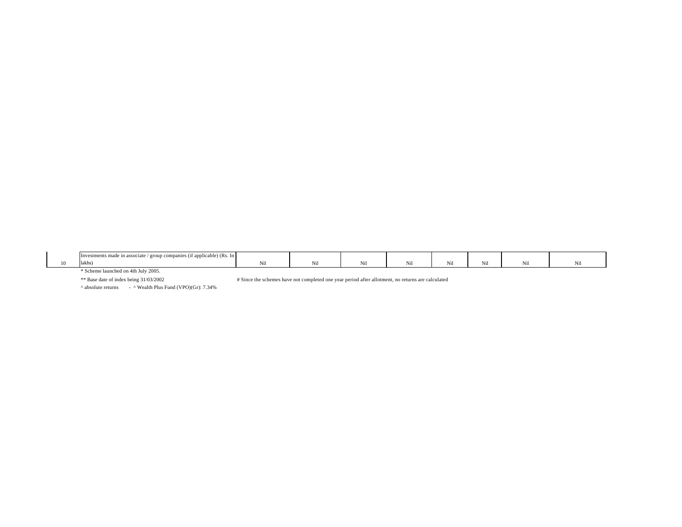|    | <b>Investme</b><br>$\gamma$ (it applicable) (Rs. $\mu$<br>ients made 11<br>in associate<br>mpan.<br>$\sigma$ roi |         |  |             |             |  |
|----|------------------------------------------------------------------------------------------------------------------|---------|--|-------------|-------------|--|
| 10 | lakhs)                                                                                                           | 17. L L |  | .<br>. V.LL | <b>INII</b> |  |

\* Scheme launched on 4th July 2005.

\*\* Base date of index being 31/03/2002

# Since the schemes have not completed one year period after allotment, no returns are calculated

 $^{\circ}$  absolute returns -  $^{\circ}$  Wealth Plus Fund (VPO)(Gr): 7.34%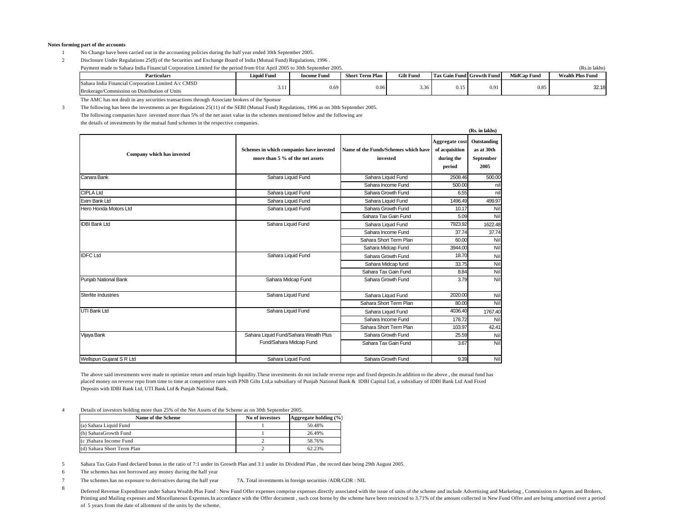## **Notes forming part of the accounts**

- 1 No Change have been carried out in the accounting policies during the half year ended 30th September 2005.
- 2 Disclosure Under Regulations 25(8) of the Securities and Exchange Board of India (Mutual Fund) Regulations, 1996 .

Payment made to Sahara India Financial Corporation Limited for the period from 01st April 2005 to 30th September 2005.

**Particulars Liquid Fund Income Fund Short Term Plan Gilt Fund Tax Gain Fund Growth Fund MidCap Fund Wealth Plus Fund** Sahara India Financial Corporation Limited A/c CMSD Brokerage/Commission on Distribution of Units 3.11 0.69 0.06 3.36 0.15 0.91 0.85 32.18 0.15 0.91

**(Rs. in lakhs)**

The AMC has not dealt in any securities transactions through Associate brokers of the Sponsor

3 The following has been the investments as per Regulations 25(11) of the SEBI (Mutual Fund) Regulations, 1996 as on 30th September 2005. The following companies have invested more than 5% of the net asset value in the schemes mentioned below and the following are

the details of investments by the mutual fund schemes in the respective companies.

|                            |                                                                             |                                                  |                                                          | члэ. ш килпэ                                   |
|----------------------------|-----------------------------------------------------------------------------|--------------------------------------------------|----------------------------------------------------------|------------------------------------------------|
| Company which has invested | Schemes in which companies have invested<br>more than 5 % of the net assets | Name of the Funds/Schemes which have<br>invested | Aggregate cost<br>of acquisition<br>during the<br>period | Outstanding<br>as at 30th<br>September<br>2005 |
| Canara Bank                | Sahara Liquid Fund                                                          | Sahara Liquid Fund                               | 2508.46                                                  | 500.00                                         |
|                            |                                                                             | Sahara Income Fund                               | 500.00                                                   | nil                                            |
| <b>CIPLA Ltd</b>           | Sahara Liquid Fund                                                          | Sahara Growth Fund                               | 6.55                                                     | nil                                            |
| Exim Bank Ltd              | Sahara Liquid Fund                                                          | Sahara Liquid Fund                               | 1496.49                                                  | 499.97                                         |
| Hero Honda Motors Ltd      | Sahara Liquid Fund                                                          | Sahara Growth Fund                               | 10.17                                                    | Nil                                            |
|                            |                                                                             | Sahara Tax Gain Fund                             | 5.09                                                     | Nil                                            |
| <b>IDBI Bank Ltd</b>       | Sahara Liquid Fund                                                          | Sahara Liquid Fund                               | 7923.92                                                  | 1622.48                                        |
|                            |                                                                             | Sahara Income Fund                               | 37.74                                                    | 37.74                                          |
|                            |                                                                             | Sahara Short Term Plan                           | 60.00                                                    | Nil                                            |
|                            |                                                                             | Sahara Midcap Fund                               | 3944.00                                                  | Nil                                            |
| <b>IDFC Ltd</b>            | Sahara Liquid Fund                                                          | Sahara Growth Fund                               | 18.70                                                    | Nil                                            |
|                            |                                                                             | Sahara Midcap fund                               | 33.75                                                    | Nil                                            |
|                            |                                                                             | Sahara Tax Gain Fund                             | 8.84                                                     | Nil                                            |
| Punjab National Bank       | Sahara Midcap Fund                                                          | Sahara Growth Fund                               | 3.79                                                     | Nil                                            |
| <b>Sterlite Industries</b> | Sahara Liquid Fund                                                          | Sahara Liquid Fund                               | 2020.00                                                  | Nil                                            |
|                            |                                                                             | Sahara Short Term Plan                           | 80.00                                                    | Nil                                            |
| UTI Bank Ltd               | Sahara Liquid Fund                                                          | Sahara Liquid Fund                               | 4036.40                                                  | 1767.40                                        |
|                            |                                                                             | Sahara Income Fund                               | 178.72                                                   | Nil                                            |
|                            |                                                                             | Sahara Short Term Plan                           | 103.97                                                   | 42.41                                          |
| Vijaya Bank                | Sahara Liquid Fund/Sahara Wealth Plus                                       | Sahara Growth Fund                               | 25.59                                                    | Nil                                            |
|                            | Fund/Sahara Midcap Fund                                                     | Sahara Tax Gain Fund                             | 3.67                                                     | Nil                                            |
| Wellspun Gujarat S R Ltd   | Sahara Liquid Fund                                                          | Sahara Growth Fund                               | 9.39                                                     | Nil                                            |

The above said investments were made to optimize return and retain high liquidity. These investments do not include reverse repo and fixed deposits. In addition to the above, the mutual fund has placed money on reverse repo from time to time at competitive rates with PNB Gilts Ltd,a subsidiary of Punjab National Bank & IDBI Capital Ltd, a subsidiary of IDBI Bank Ltd And Fixed Deposits with IDBI Bank Ltd, UTI Bank Ltd & Punjab National Bank.

4 Details of investors holding more than 25% of the Net Assets of the Scheme as on 30th September 2005.

| Name of the Scheme         | No of investors | Aggregate holding $(\% )$ |
|----------------------------|-----------------|---------------------------|
| (a) Sahara Liquid Fund     |                 | 50.48%                    |
| (b) SaharaGrowth Fund      |                 | 26.49%                    |
| (c) Sahara Income Fund     |                 | 58.76%                    |
| (d) Sahara Short Term Plan |                 | 62.23%                    |

5 Sahara Tax Gain Fund declared bonus in the ratio of 7:1 under its Growth Plan and 3:1 under its Dividend Plan , the record date being 29th August 2005.

6 The schemes has not borrowed any money during the half year

7 The schemes has no exposure to derivatives during the half year 7A. Total investments in foreign securities /ADR/GDR : NIL

8 Deferred Revenue Expenditure under Sahara Wealth Plus Fund : New Fund Offer expenses comprise expenses directly associated with the issue of units of the scheme and include Advertising and Marketing, Commission to Agents a Printing and Mailing expenses and Miscellaneous Expenses.In accordance with the Offer document, such cost borne by the scheme have been restricted to 3.71% of the amount collected in New Fund Offer and are being amortised of 5 years from the date of allotment of the units by the scheme.